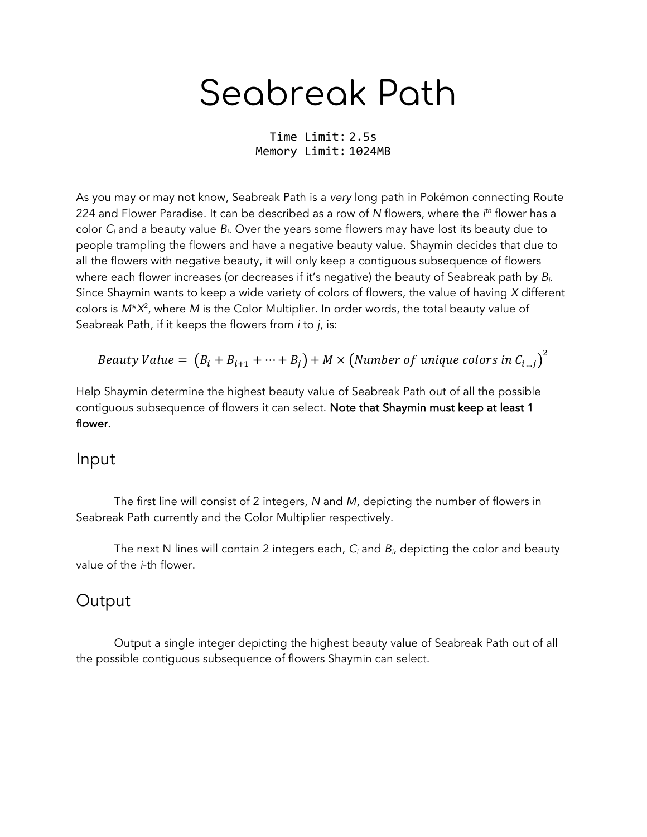## Seabreak Path

Time Limit: 2.5s Memory Limit: 1024MB

As you may or may not know, Seabreak Path is a *very* long path in Pokémon connecting Route 224 and Flower Paradise. It can be described as a row of *N* flowers, where the *i th* flower has a color *Ci* and a beauty value *Bi*. Over the years some flowers may have lost its beauty due to people trampling the flowers and have a negative beauty value. Shaymin decides that due to all the flowers with negative beauty, it will only keep a contiguous subsequence of flowers where each flower increases (or decreases if it's negative) the beauty of Seabreak path by *Bi*. Since Shaymin wants to keep a wide variety of colors of flowers, the value of having *X* different colors is *M*\**X*<sup>2</sup> , where *M* is the Color Multiplier. In order words, the total beauty value of Seabreak Path, if it keeps the flowers from *i* to *j*, is:

*Beauty Value* = 
$$
(B_i + B_{i+1} + \cdots + B_j) + M \times (Number of unique colors in C_{i\ldots j})^2
$$

Help Shaymin determine the highest beauty value of Seabreak Path out of all the possible contiguous subsequence of flowers it can select. Note that Shaymin must keep at least 1 flower.

## Input

The first line will consist of 2 integers, *N* and *M*, depicting the number of flowers in Seabreak Path currently and the Color Multiplier respectively.

The next N lines will contain 2 integers each, *Ci* and *Bi*, depicting the color and beauty value of the *i*-th flower.

## **Output**

Output a single integer depicting the highest beauty value of Seabreak Path out of all the possible contiguous subsequence of flowers Shaymin can select.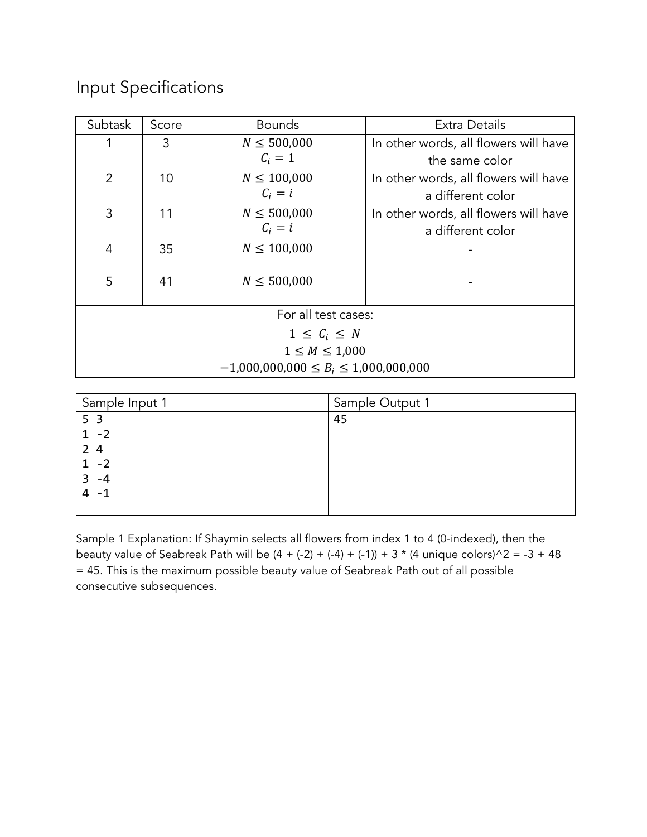## Input Specifications

| Subtask                                    | Score | <b>Bounds</b>   | Extra Details                         |  |  |
|--------------------------------------------|-------|-----------------|---------------------------------------|--|--|
|                                            | 3     | $N \le 500,000$ | In other words, all flowers will have |  |  |
|                                            |       | $C_i = 1$       | the same color                        |  |  |
| 2                                          | 10    | $N \le 100,000$ | In other words, all flowers will have |  |  |
|                                            |       | $C_i = i$       | a different color                     |  |  |
| 3                                          | 11    | $N \le 500,000$ | In other words, all flowers will have |  |  |
|                                            |       | $C_i = i$       | a different color                     |  |  |
| $\overline{4}$                             | 35    | $N \le 100,000$ |                                       |  |  |
|                                            |       |                 |                                       |  |  |
| 5                                          | 41    | $N \le 500,000$ |                                       |  |  |
|                                            |       |                 |                                       |  |  |
| For all test cases:                        |       |                 |                                       |  |  |
| $1 \leq C_i \leq N$                        |       |                 |                                       |  |  |
| $1 \leq M \leq 1,000$                      |       |                 |                                       |  |  |
| $-1,000,000,000 \le B_i \le 1,000,000,000$ |       |                 |                                       |  |  |

| Sample Input 1 | Sample Output 1 |
|----------------|-----------------|
| 5 <sub>3</sub> | 45              |
| $1 - 2$        |                 |
| 24             |                 |
| $-2$           |                 |
| -4<br>3        |                 |
| -1             |                 |
|                |                 |

Sample 1 Explanation: If Shaymin selects all flowers from index 1 to 4 (0-indexed), then the beauty value of Seabreak Path will be  $(4 + (-2) + (-4) + (-1)) + 3 * (4$  unique colors)^2 = -3 + 48 = 45. This is the maximum possible beauty value of Seabreak Path out of all possible consecutive subsequences.